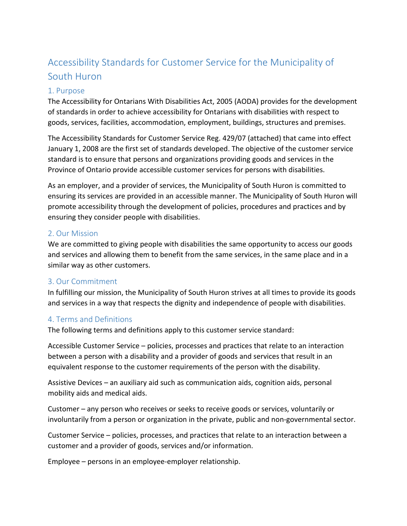# Accessibility Standards for Customer Service for the Municipality of South Huron

#### 1. Purpose

The Accessibility for Ontarians With Disabilities Act, 2005 (AODA) provides for the development of standards in order to achieve accessibility for Ontarians with disabilities with respect to goods, services, facilities, accommodation, employment, buildings, structures and premises.

The Accessibility Standards for Customer Service Reg. 429/07 (attached) that came into effect January 1, 2008 are the first set of standards developed. The objective of the customer service standard is to ensure that persons and organizations providing goods and services in the Province of Ontario provide accessible customer services for persons with disabilities.

As an employer, and a provider of services, the Municipality of South Huron is committed to ensuring its services are provided in an accessible manner. The Municipality of South Huron will promote accessibility through the development of policies, procedures and practices and by ensuring they consider people with disabilities.

#### 2. Our Mission

We are committed to giving people with disabilities the same opportunity to access our goods and services and allowing them to benefit from the same services, in the same place and in a similar way as other customers.

#### 3. Our Commitment

In fulfilling our mission, the Municipality of South Huron strives at all times to provide its goods and services in a way that respects the dignity and independence of people with disabilities.

#### 4. Terms and Definitions

The following terms and definitions apply to this customer service standard:

Accessible Customer Service – policies, processes and practices that relate to an interaction between a person with a disability and a provider of goods and services that result in an equivalent response to the customer requirements of the person with the disability.

Assistive Devices – an auxiliary aid such as communication aids, cognition aids, personal mobility aids and medical aids.

Customer – any person who receives or seeks to receive goods or services, voluntarily or involuntarily from a person or organization in the private, public and non-governmental sector.

Customer Service – policies, processes, and practices that relate to an interaction between a customer and a provider of goods, services and/or information.

Employee – persons in an employee-employer relationship.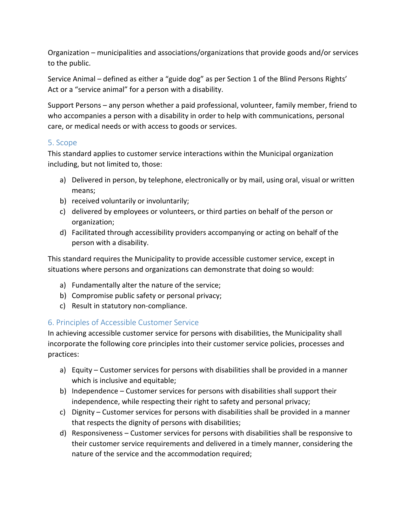Organization – municipalities and associations/organizations that provide goods and/or services to the public.

Service Animal – defined as either a "guide dog" as per Section 1 of the Blind Persons Rights' Act or a "service animal" for a person with a disability.

Support Persons – any person whether a paid professional, volunteer, family member, friend to who accompanies a person with a disability in order to help with communications, personal care, or medical needs or with access to goods or services.

#### 5. Scope

This standard applies to customer service interactions within the Municipal organization including, but not limited to, those:

- a) Delivered in person, by telephone, electronically or by mail, using oral, visual or written means;
- b) received voluntarily or involuntarily;
- c) delivered by employees or volunteers, or third parties on behalf of the person or organization;
- d) Facilitated through accessibility providers accompanying or acting on behalf of the person with a disability.

This standard requires the Municipality to provide accessible customer service, except in situations where persons and organizations can demonstrate that doing so would:

- a) Fundamentally alter the nature of the service;
- b) Compromise public safety or personal privacy;
- c) Result in statutory non-compliance.

## 6. Principles of Accessible Customer Service

In achieving accessible customer service for persons with disabilities, the Municipality shall incorporate the following core principles into their customer service policies, processes and practices:

- a) Equity Customer services for persons with disabilities shall be provided in a manner which is inclusive and equitable;
- b) Independence Customer services for persons with disabilities shall support their independence, while respecting their right to safety and personal privacy;
- c) Dignity Customer services for persons with disabilities shall be provided in a manner that respects the dignity of persons with disabilities;
- d) Responsiveness Customer services for persons with disabilities shall be responsive to their customer service requirements and delivered in a timely manner, considering the nature of the service and the accommodation required;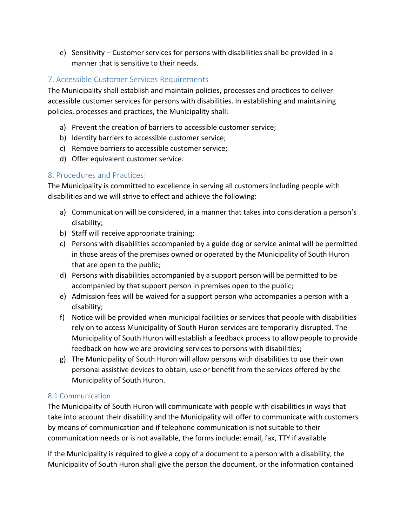e) Sensitivity – Customer services for persons with disabilities shall be provided in a manner that is sensitive to their needs.

#### 7. Accessible Customer Services Requirements

The Municipality shall establish and maintain policies, processes and practices to deliver accessible customer services for persons with disabilities. In establishing and maintaining policies, processes and practices, the Municipality shall:

- a) Prevent the creation of barriers to accessible customer service;
- b) Identify barriers to accessible customer service;
- c) Remove barriers to accessible customer service;
- d) Offer equivalent customer service.

## 8. Procedures and Practices:

The Municipality is committed to excellence in serving all customers including people with disabilities and we will strive to effect and achieve the following:

- a) Communication will be considered, in a manner that takes into consideration a person's disability;
- b) Staff will receive appropriate training;
- c) Persons with disabilities accompanied by a guide dog or service animal will be permitted in those areas of the premises owned or operated by the Municipality of South Huron that are open to the public;
- d) Persons with disabilities accompanied by a support person will be permitted to be accompanied by that support person in premises open to the public;
- e) Admission fees will be waived for a support person who accompanies a person with a disability;
- f) Notice will be provided when municipal facilities or services that people with disabilities rely on to access Municipality of South Huron services are temporarily disrupted. The Municipality of South Huron will establish a feedback process to allow people to provide feedback on how we are providing services to persons with disabilities;
- g) The Municipality of South Huron will allow persons with disabilities to use their own personal assistive devices to obtain, use or benefit from the services offered by the Municipality of South Huron.

## 8.1 Communication

The Municipality of South Huron will communicate with people with disabilities in ways that take into account their disability and the Municipality will offer to communicate with customers by means of communication and if telephone communication is not suitable to their communication needs or is not available, the forms include: email, fax, TTY if available

If the Municipality is required to give a copy of a document to a person with a disability, the Municipality of South Huron shall give the person the document, or the information contained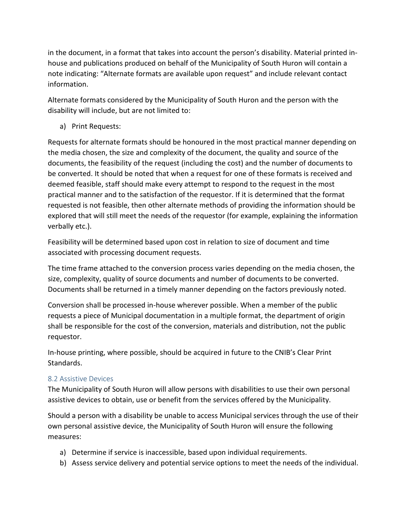in the document, in a format that takes into account the person's disability. Material printed inhouse and publications produced on behalf of the Municipality of South Huron will contain a note indicating: "Alternate formats are available upon request" and include relevant contact information.

Alternate formats considered by the Municipality of South Huron and the person with the disability will include, but are not limited to:

a) Print Requests:

Requests for alternate formats should be honoured in the most practical manner depending on the media chosen, the size and complexity of the document, the quality and source of the documents, the feasibility of the request (including the cost) and the number of documents to be converted. It should be noted that when a request for one of these formats is received and deemed feasible, staff should make every attempt to respond to the request in the most practical manner and to the satisfaction of the requestor. If it is determined that the format requested is not feasible, then other alternate methods of providing the information should be explored that will still meet the needs of the requestor (for example, explaining the information verbally etc.).

Feasibility will be determined based upon cost in relation to size of document and time associated with processing document requests.

The time frame attached to the conversion process varies depending on the media chosen, the size, complexity, quality of source documents and number of documents to be converted. Documents shall be returned in a timely manner depending on the factors previously noted.

Conversion shall be processed in-house wherever possible. When a member of the public requests a piece of Municipal documentation in a multiple format, the department of origin shall be responsible for the cost of the conversion, materials and distribution, not the public requestor.

In-house printing, where possible, should be acquired in future to the CNIB's Clear Print Standards.

## 8.2 Assistive Devices

The Municipality of South Huron will allow persons with disabilities to use their own personal assistive devices to obtain, use or benefit from the services offered by the Municipality.

Should a person with a disability be unable to access Municipal services through the use of their own personal assistive device, the Municipality of South Huron will ensure the following measures:

- a) Determine if service is inaccessible, based upon individual requirements.
- b) Assess service delivery and potential service options to meet the needs of the individual.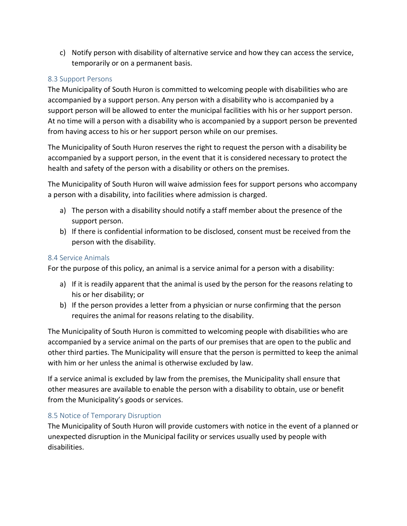c) Notify person with disability of alternative service and how they can access the service, temporarily or on a permanent basis.

#### 8.3 Support Persons

The Municipality of South Huron is committed to welcoming people with disabilities who are accompanied by a support person. Any person with a disability who is accompanied by a support person will be allowed to enter the municipal facilities with his or her support person. At no time will a person with a disability who is accompanied by a support person be prevented from having access to his or her support person while on our premises.

The Municipality of South Huron reserves the right to request the person with a disability be accompanied by a support person, in the event that it is considered necessary to protect the health and safety of the person with a disability or others on the premises.

The Municipality of South Huron will waive admission fees for support persons who accompany a person with a disability, into facilities where admission is charged.

- a) The person with a disability should notify a staff member about the presence of the support person.
- b) If there is confidential information to be disclosed, consent must be received from the person with the disability.

#### 8.4 Service Animals

For the purpose of this policy, an animal is a service animal for a person with a disability:

- a) If it is readily apparent that the animal is used by the person for the reasons relating to his or her disability; or
- b) If the person provides a letter from a physician or nurse confirming that the person requires the animal for reasons relating to the disability.

The Municipality of South Huron is committed to welcoming people with disabilities who are accompanied by a service animal on the parts of our premises that are open to the public and other third parties. The Municipality will ensure that the person is permitted to keep the animal with him or her unless the animal is otherwise excluded by law.

If a service animal is excluded by law from the premises, the Municipality shall ensure that other measures are available to enable the person with a disability to obtain, use or benefit from the Municipality's goods or services.

#### 8.5 Notice of Temporary Disruption

The Municipality of South Huron will provide customers with notice in the event of a planned or unexpected disruption in the Municipal facility or services usually used by people with disabilities.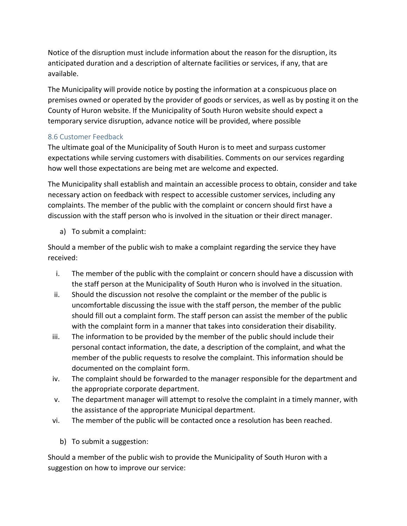Notice of the disruption must include information about the reason for the disruption, its anticipated duration and a description of alternate facilities or services, if any, that are available.

The Municipality will provide notice by posting the information at a conspicuous place on premises owned or operated by the provider of goods or services, as well as by posting it on the County of Huron website. If the Municipality of South Huron website should expect a temporary service disruption, advance notice will be provided, where possible

## 8.6 Customer Feedback

The ultimate goal of the Municipality of South Huron is to meet and surpass customer expectations while serving customers with disabilities. Comments on our services regarding how well those expectations are being met are welcome and expected.

The Municipality shall establish and maintain an accessible process to obtain, consider and take necessary action on feedback with respect to accessible customer services, including any complaints. The member of the public with the complaint or concern should first have a discussion with the staff person who is involved in the situation or their direct manager.

a) To submit a complaint:

Should a member of the public wish to make a complaint regarding the service they have received:

- i. The member of the public with the complaint or concern should have a discussion with the staff person at the Municipality of South Huron who is involved in the situation.
- ii. Should the discussion not resolve the complaint or the member of the public is uncomfortable discussing the issue with the staff person, the member of the public should fill out a complaint form. The staff person can assist the member of the public with the complaint form in a manner that takes into consideration their disability.
- iii. The information to be provided by the member of the public should include their personal contact information, the date, a description of the complaint, and what the member of the public requests to resolve the complaint. This information should be documented on the complaint form.
- iv. The complaint should be forwarded to the manager responsible for the department and the appropriate corporate department.
- v. The department manager will attempt to resolve the complaint in a timely manner, with the assistance of the appropriate Municipal department.
- vi. The member of the public will be contacted once a resolution has been reached.
	- b) To submit a suggestion:

Should a member of the public wish to provide the Municipality of South Huron with a suggestion on how to improve our service: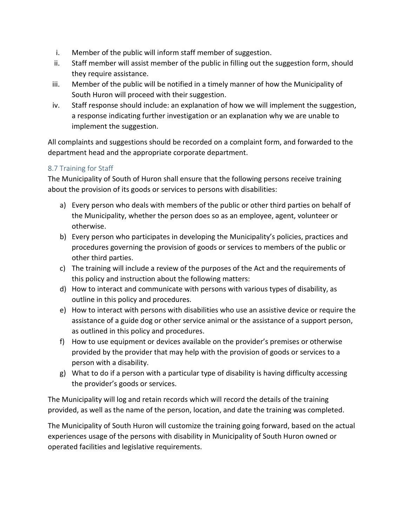- i. Member of the public will inform staff member of suggestion.
- ii. Staff member will assist member of the public in filling out the suggestion form, should they require assistance.
- iii. Member of the public will be notified in a timely manner of how the Municipality of South Huron will proceed with their suggestion.
- iv. Staff response should include: an explanation of how we will implement the suggestion, a response indicating further investigation or an explanation why we are unable to implement the suggestion.

All complaints and suggestions should be recorded on a complaint form, and forwarded to the department head and the appropriate corporate department.

## 8.7 Training for Staff

The Municipality of South of Huron shall ensure that the following persons receive training about the provision of its goods or services to persons with disabilities:

- a) Every person who deals with members of the public or other third parties on behalf of the Municipality, whether the person does so as an employee, agent, volunteer or otherwise.
- b) Every person who participates in developing the Municipality's policies, practices and procedures governing the provision of goods or services to members of the public or other third parties.
- c) The training will include a review of the purposes of the Act and the requirements of this policy and instruction about the following matters:
- d) How to interact and communicate with persons with various types of disability, as outline in this policy and procedures.
- e) How to interact with persons with disabilities who use an assistive device or require the assistance of a guide dog or other service animal or the assistance of a support person, as outlined in this policy and procedures.
- f) How to use equipment or devices available on the provider's premises or otherwise provided by the provider that may help with the provision of goods or services to a person with a disability.
- g) What to do if a person with a particular type of disability is having difficulty accessing the provider's goods or services.

The Municipality will log and retain records which will record the details of the training provided, as well as the name of the person, location, and date the training was completed.

The Municipality of South Huron will customize the training going forward, based on the actual experiences usage of the persons with disability in Municipality of South Huron owned or operated facilities and legislative requirements.